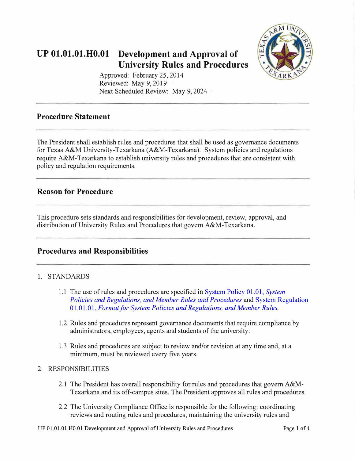

# **UP 01.01.01.H0.01 Development and Approval of University Rules and Procedures**

Approved: February 25, 2014 Reviewed: May 9, 2019 Next Scheduled Review: May 9, 2024

# **Procedure Statement**

The President shall establish rules and procedures that shall be used as governance documents for Texas A&M University-Texarkana (A&M-Texarkana). System policies and regulations require A&M-Texarkana to establish university rules and procedures that are consistent with policy and regulation requirements.

### **Reason for Procedure**

This procedure sets standards and responsibilities for development, review, approval, and distribution of University Rules and Procedures that govern A&M-Texarkana.

### **Procedures and Responsibilities**

### 1. STANDARDS

- 1.1 The use of rules and procedures are specified in [System Policy 01.01,](http://policies.tamus.edu/01-01.pdf) *System [Policies and Regulations, and Member Rules and Procedures](http://policies.tamus.edu/01-01.pdf)* and [System Regulation](http://policies.tamus.edu/01-01-01.pdf)  01.01.01, *Format for System Policies [and Regulations, and Member Rules.](http://policies.tamus.edu/01-01-01.pdf)*
- 1 .2 Rules and procedures represent governance documents that require compliance by administrators, employees, agents and students of the university.
- 1.3 Rules and procedures are subject to review and/or revision at any time and, at a minimum, must be reviewed every five years.

#### 2. RESPONSIBILITIES

- 2.1 The President has overall responsibility for rules and procedures that govern A&M-Texarkana and its off-campus sites. The President approves all rules and procedures.
- 2.2 The University Compliance Office is responsible for the following: coordinating reviews and routing rules and procedures; maintaining the university rules and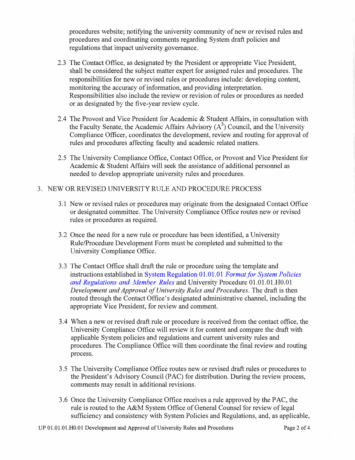procedures website; notifying the university community of new or revised rules and procedures and coordinating comments regarding System draft policies and regulations that impact university governance.

- 2.3 The Contact Office, as designated by the President or appropriate Vice President, shall be considered the subject matter expert for assigned rules and procedures. The responsibilities for new or revised rules or procedures include: developing content, monitoring the accuracy of information, and providing interpretation. Responsibilities also include the review or revision of rules or procedures as needed or as designated by the five-year review cycle.
- 2.4 The Provost and Vice President for Academic & Student Affairs, in consultation with the Faculty Senate, the Academic Affairs Advisory  $(A^3)$  Council, and the University Compliance Officer, coordinates the development, review and routing for approval of rules and procedures affecting faculty and academic related matters.
- 2.5 The University Compliance Office, Contact Office, or Provost and Vice President for Academic & Student Affairs will seek the assistance of additional personnel as needed to develop appropriate university rules and procedures.

#### 3. NEW OR REVISED UNIVERSITY RULE AND PROCEDURE PROCESS

- 3.1 New or revised rules or procedures may originate from the designated Contact Office or designated committee. The University Compliance Office routes new or revised rules or procedures as required.
- 3.2 Once the need for a new rule or procedure has been identified, a University Rule/Procedure Development Form must be completed and submitted to the University Compliance Office.
- 3.3 The Contact Office shall draft the rule or procedure using the template and instructions established in [System Regulation 01.01.01](http://policies.tamus.edu/01-01-01.pdf) *Format for System Policies [and Regulations and](http://policies.tamus.edu/01-01-01.pdf) Member Rules* and University Procedure 01.01.01.H0.01 *Development and Approval of University Rules and Procedures.* The draft is then routed through the Contact Office's designated administrative channel, including the appropriate Vice President, for review and comment.
- 3 .4 When a new or revised draft rule or procedure is received from the contact office, the University Compliance Office will review it for content and compare the draft with applicable System policies and regulations and current university rules and procedures. The Compliance Office will then coordinate the final review and routing process.
- 3.5 The University Compliance Office routes new or revised draft rules or procedures to the President's Advisory Council (PAC) for distribution. During the review process, comments may result in additional revisions.
- 3.6 Once the University Compliance Office receives a rule approved by the PAC, the rule is routed to the A&M System Office of General Counsel for review of legal sufficiency and consistency with System Policies and Regulations, and, as applicable,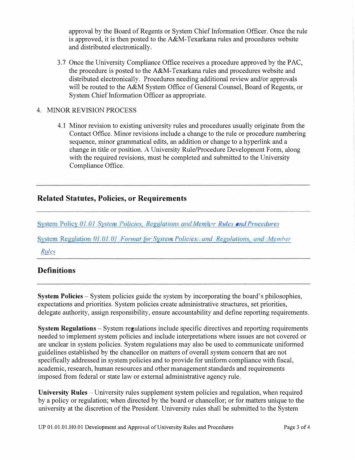approval by the Board of Regents or System Chief Information Officer. Once the rule is approved, it is then posted to the  $A\&M$ -Texarkana rules and procedures website and distributed electronically.

3.7 Once the University Compliance Office receives a procedure approved by the PAC, the procedure is posted to the A&M-Texarkana rules and procedures website and distributed electronically. Procedures needing additional review and/or approvals will be routed to the A&M System Office of General Counsel, Board of Regents, or System Chief Information Officer as appropriate.

#### 4. MINOR REVISION PROCESS

4.1 Minor revision to existing university rules and procedures usually originate from the Contact Office. Minor revisions include a change to the rule or procedure numbering sequence, minor grammatical edits, an addition or change to a hyperlink and a change in title or position. A University Rule/Procedure Development Form, along with the required revisions, must be completed and submitted to the University Compliance Office.

### **Related Statutes, Policies, or Requirements**

System Policy 01.01 System Policies, Regulations and Member Rules and Procedures

ystem Regulation *OJ.OJ.Of Formal tor [System Policies, and Regulations, and Member](http://policies.tamus.edu/01-01-01.pdf)* 

*Rules*

## **Definitions**

**System Policies** - System policies guide the system by incorporating the board's philosophies, expectations and priorities. System policies create administrative structures, set priorities, delegate authority, assign responsibility, ensure accountability and define reporting requirements.

**System Regulations** - System regulations include specific directives and reporting requirements needed to implement system policies and include interpretations where issues are not covered or are unclear in system policies. System regulations may also be used to communicate uniformed guidelines established by the chancellor on matters of overall system concern that are not specifically addressed in system policies and to provide for uniform compliance with fiscal, academic, research, human resources and other management standards and requirements imposed from federal or state law or external administrative agency rule.

**University Rules** – University rules supplement system policies and regulation, when required by a policy or regulation; when directed by the board or chancellor; or for matters unique to the university at the discretion of the President. University rules shall be submitted to the System

UP 01.01.01.H0.01 Development and Approval of University Rules and Procedures Page 3 of 4